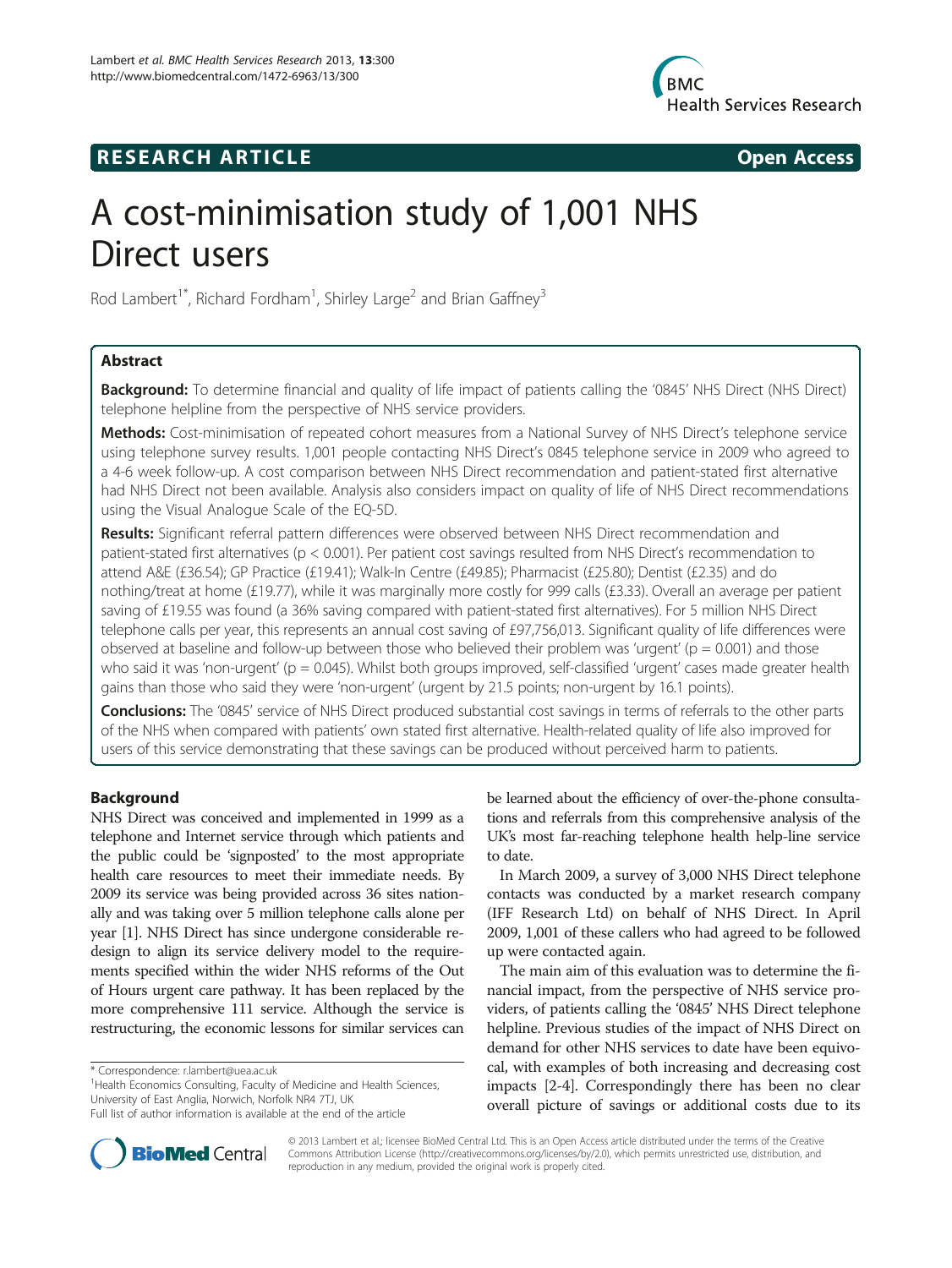

## **RESEARCH ARTICLE Example 2014 CONSIDERING CONSIDERING CONSIDERING CONSIDERING CONSIDERING CONSIDERING CONSIDERING CONSIDERING CONSIDERING CONSIDERING CONSIDERING CONSIDERING CONSIDERING CONSIDERING CONSIDERING CONSIDE**



# A cost-minimisation study of 1,001 NHS Direct users

Rod Lambert<sup>1\*</sup>, Richard Fordham<sup>1</sup>, Shirley Large<sup>2</sup> and Brian Gaffney<sup>3</sup>

## Abstract

Background: To determine financial and quality of life impact of patients calling the '0845' NHS Direct (NHS Direct) telephone helpline from the perspective of NHS service providers.

Methods: Cost-minimisation of repeated cohort measures from a National Survey of NHS Direct's telephone service using telephone survey results. 1,001 people contacting NHS Direct's 0845 telephone service in 2009 who agreed to a 4-6 week follow-up. A cost comparison between NHS Direct recommendation and patient-stated first alternative had NHS Direct not been available. Analysis also considers impact on quality of life of NHS Direct recommendations using the Visual Analogue Scale of the EQ-5D.

Results: Significant referral pattern differences were observed between NHS Direct recommendation and patient-stated first alternatives (p < 0.001). Per patient cost savings resulted from NHS Direct's recommendation to attend A&E (£36.54); GP Practice (£19.41); Walk-In Centre (£49.85); Pharmacist (£25.80); Dentist (£2.35) and do nothing/treat at home (£19.77), while it was marginally more costly for 999 calls (£3.33). Overall an average per patient saving of £19.55 was found (a 36% saving compared with patient-stated first alternatives). For 5 million NHS Direct telephone calls per year, this represents an annual cost saving of £97,756,013. Significant quality of life differences were observed at baseline and follow-up between those who believed their problem was 'urgent' ( $p = 0.001$ ) and those who said it was 'non-urgent' ( $p = 0.045$ ). Whilst both groups improved, self-classified 'urgent' cases made greater health gains than those who said they were 'non-urgent' (urgent by 21.5 points; non-urgent by 16.1 points).

Conclusions: The '0845' service of NHS Direct produced substantial cost savings in terms of referrals to the other parts of the NHS when compared with patients' own stated first alternative. Health-related quality of life also improved for users of this service demonstrating that these savings can be produced without perceived harm to patients.

## Background

NHS Direct was conceived and implemented in 1999 as a telephone and Internet service through which patients and the public could be 'signposted' to the most appropriate health care resources to meet their immediate needs. By 2009 its service was being provided across 36 sites nationally and was taking over 5 million telephone calls alone per year [\[1\]](#page-11-0). NHS Direct has since undergone considerable redesign to align its service delivery model to the requirements specified within the wider NHS reforms of the Out of Hours urgent care pathway. It has been replaced by the more comprehensive 111 service. Although the service is restructuring, the economic lessons for similar services can

<sup>1</sup> Health Economics Consulting, Faculty of Medicine and Health Sciences, University of East Anglia, Norwich, Norfolk NR4 7TJ, UK

be learned about the efficiency of over-the-phone consultations and referrals from this comprehensive analysis of the UK's most far-reaching telephone health help-line service to date.

In March 2009, a survey of 3,000 NHS Direct telephone contacts was conducted by a market research company (IFF Research Ltd) on behalf of NHS Direct. In April 2009, 1,001 of these callers who had agreed to be followed up were contacted again.

The main aim of this evaluation was to determine the financial impact, from the perspective of NHS service providers, of patients calling the '0845' NHS Direct telephone helpline. Previous studies of the impact of NHS Direct on demand for other NHS services to date have been equivocal, with examples of both increasing and decreasing cost impacts [[2-4\]](#page-11-0). Correspondingly there has been no clear overall picture of savings or additional costs due to its



© 2013 Lambert et al.; licensee BioMed Central Ltd. This is an Open Access article distributed under the terms of the Creative Commons Attribution License [\(http://creativecommons.org/licenses/by/2.0\)](http://creativecommons.org/licenses/by/2.0), which permits unrestricted use, distribution, and reproduction in any medium, provided the original work is properly cited.

<sup>\*</sup> Correspondence: [r.lambert@uea.ac.uk](mailto:r.lambert@uea.ac.uk) <sup>1</sup>

Full list of author information is available at the end of the article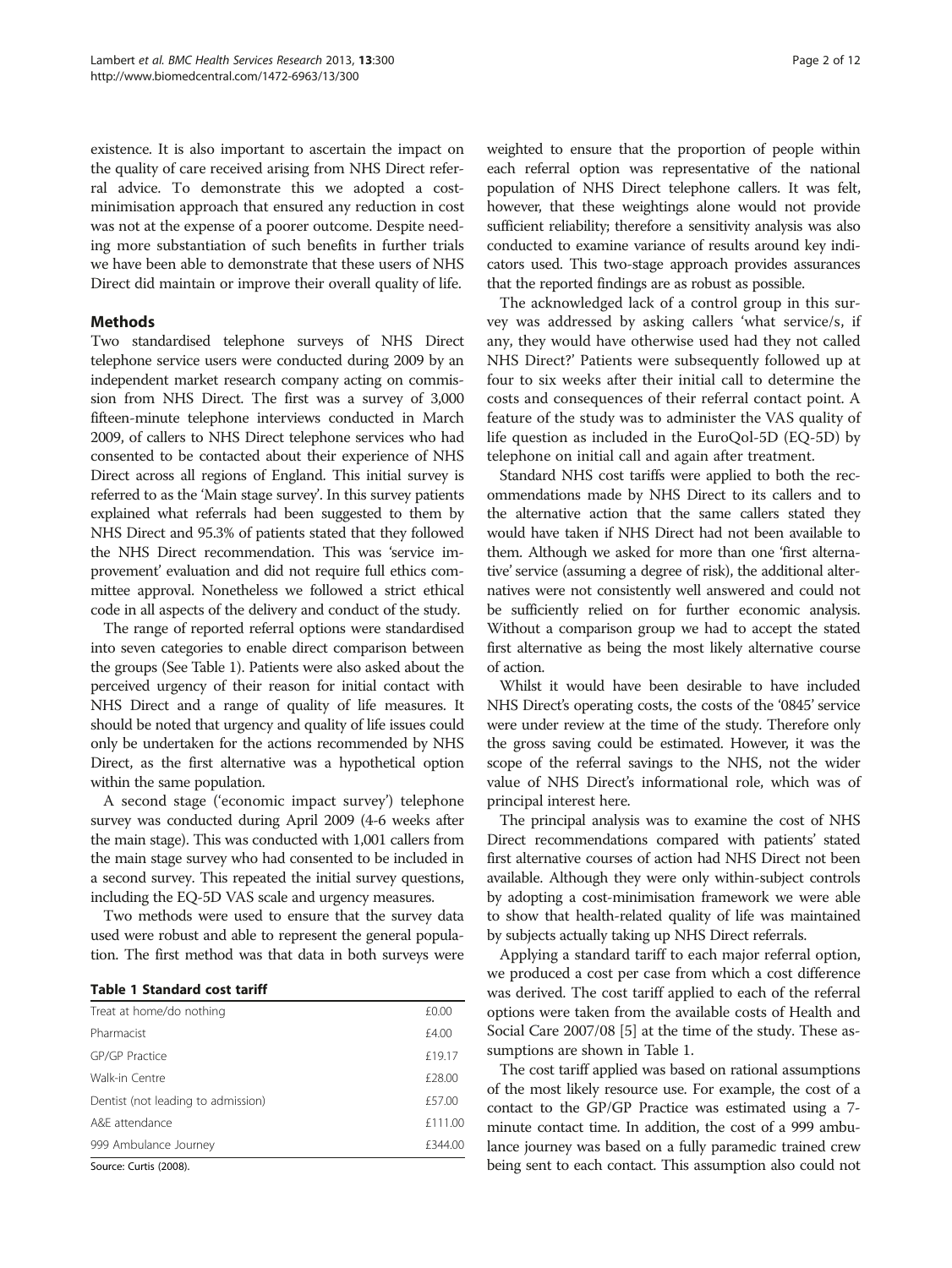existence. It is also important to ascertain the impact on the quality of care received arising from NHS Direct referral advice. To demonstrate this we adopted a costminimisation approach that ensured any reduction in cost was not at the expense of a poorer outcome. Despite needing more substantiation of such benefits in further trials we have been able to demonstrate that these users of NHS Direct did maintain or improve their overall quality of life.

## Methods

Two standardised telephone surveys of NHS Direct telephone service users were conducted during 2009 by an independent market research company acting on commission from NHS Direct. The first was a survey of 3,000 fifteen-minute telephone interviews conducted in March 2009, of callers to NHS Direct telephone services who had consented to be contacted about their experience of NHS Direct across all regions of England. This initial survey is referred to as the 'Main stage survey'. In this survey patients explained what referrals had been suggested to them by NHS Direct and 95.3% of patients stated that they followed the NHS Direct recommendation. This was 'service improvement' evaluation and did not require full ethics committee approval. Nonetheless we followed a strict ethical code in all aspects of the delivery and conduct of the study.

The range of reported referral options were standardised into seven categories to enable direct comparison between the groups (See Table 1). Patients were also asked about the perceived urgency of their reason for initial contact with NHS Direct and a range of quality of life measures. It should be noted that urgency and quality of life issues could only be undertaken for the actions recommended by NHS Direct, as the first alternative was a hypothetical option within the same population.

A second stage ('economic impact survey') telephone survey was conducted during April 2009 (4-6 weeks after the main stage). This was conducted with 1,001 callers from the main stage survey who had consented to be included in a second survey. This repeated the initial survey questions, including the EQ-5D VAS scale and urgency measures.

Two methods were used to ensure that the survey data used were robust and able to represent the general population. The first method was that data in both surveys were

|  |  | <b>Table 1 Standard cost tariff</b> |  |  |
|--|--|-------------------------------------|--|--|
|--|--|-------------------------------------|--|--|

| Treat at home/do nothing           | £0.00   |
|------------------------------------|---------|
| Pharmacist                         | £4.00   |
| GP/GP Practice                     | £19.17  |
| Walk-in Centre                     | £28.00  |
| Dentist (not leading to admission) | £57.00  |
| A&F attendance                     | £111.00 |
| 999 Ambulance Journey              | £344.00 |
| ----------                         |         |

Source: Curtis (2008).

weighted to ensure that the proportion of people within each referral option was representative of the national population of NHS Direct telephone callers. It was felt, however, that these weightings alone would not provide sufficient reliability; therefore a sensitivity analysis was also conducted to examine variance of results around key indicators used. This two-stage approach provides assurances that the reported findings are as robust as possible.

The acknowledged lack of a control group in this survey was addressed by asking callers 'what service/s, if any, they would have otherwise used had they not called NHS Direct?' Patients were subsequently followed up at four to six weeks after their initial call to determine the costs and consequences of their referral contact point. A feature of the study was to administer the VAS quality of life question as included in the EuroQol-5D (EQ-5D) by telephone on initial call and again after treatment.

Standard NHS cost tariffs were applied to both the recommendations made by NHS Direct to its callers and to the alternative action that the same callers stated they would have taken if NHS Direct had not been available to them. Although we asked for more than one 'first alternative' service (assuming a degree of risk), the additional alternatives were not consistently well answered and could not be sufficiently relied on for further economic analysis. Without a comparison group we had to accept the stated first alternative as being the most likely alternative course of action.

Whilst it would have been desirable to have included NHS Direct's operating costs, the costs of the '0845' service were under review at the time of the study. Therefore only the gross saving could be estimated. However, it was the scope of the referral savings to the NHS, not the wider value of NHS Direct's informational role, which was of principal interest here.

The principal analysis was to examine the cost of NHS Direct recommendations compared with patients' stated first alternative courses of action had NHS Direct not been available. Although they were only within-subject controls by adopting a cost-minimisation framework we were able to show that health-related quality of life was maintained by subjects actually taking up NHS Direct referrals.

Applying a standard tariff to each major referral option, we produced a cost per case from which a cost difference was derived. The cost tariff applied to each of the referral options were taken from the available costs of Health and Social Care 2007/08 [[5\]](#page-11-0) at the time of the study. These assumptions are shown in Table 1.

The cost tariff applied was based on rational assumptions of the most likely resource use. For example, the cost of a contact to the GP/GP Practice was estimated using a 7 minute contact time. In addition, the cost of a 999 ambulance journey was based on a fully paramedic trained crew being sent to each contact. This assumption also could not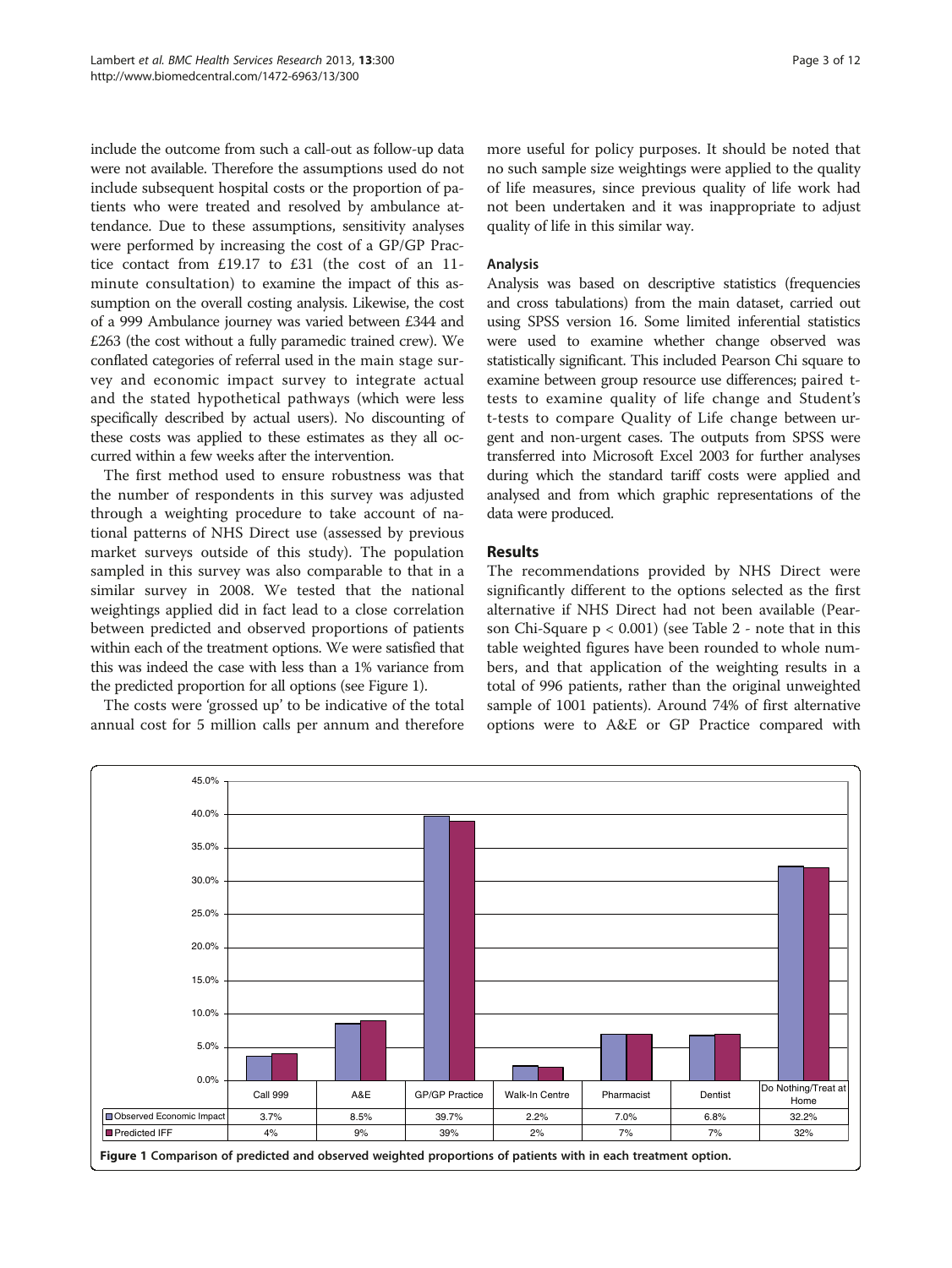include the outcome from such a call-out as follow-up data were not available. Therefore the assumptions used do not include subsequent hospital costs or the proportion of patients who were treated and resolved by ambulance attendance. Due to these assumptions, sensitivity analyses were performed by increasing the cost of a GP/GP Practice contact from £19.17 to £31 (the cost of an 11 minute consultation) to examine the impact of this assumption on the overall costing analysis. Likewise, the cost of a 999 Ambulance journey was varied between £344 and £263 (the cost without a fully paramedic trained crew). We conflated categories of referral used in the main stage survey and economic impact survey to integrate actual and the stated hypothetical pathways (which were less specifically described by actual users). No discounting of these costs was applied to these estimates as they all occurred within a few weeks after the intervention.

The first method used to ensure robustness was that the number of respondents in this survey was adjusted through a weighting procedure to take account of national patterns of NHS Direct use (assessed by previous market surveys outside of this study). The population sampled in this survey was also comparable to that in a similar survey in 2008. We tested that the national weightings applied did in fact lead to a close correlation between predicted and observed proportions of patients within each of the treatment options. We were satisfied that this was indeed the case with less than a 1% variance from the predicted proportion for all options (see Figure 1).

The costs were 'grossed up' to be indicative of the total annual cost for 5 million calls per annum and therefore more useful for policy purposes. It should be noted that no such sample size weightings were applied to the quality of life measures, since previous quality of life work had not been undertaken and it was inappropriate to adjust quality of life in this similar way.

#### Analysis

Analysis was based on descriptive statistics (frequencies and cross tabulations) from the main dataset, carried out using SPSS version 16. Some limited inferential statistics were used to examine whether change observed was statistically significant. This included Pearson Chi square to examine between group resource use differences; paired ttests to examine quality of life change and Student's t-tests to compare Quality of Life change between urgent and non-urgent cases. The outputs from SPSS were transferred into Microsoft Excel 2003 for further analyses during which the standard tariff costs were applied and analysed and from which graphic representations of the data were produced.

#### Results

The recommendations provided by NHS Direct were significantly different to the options selected as the first alternative if NHS Direct had not been available (Pearson Chi-Square  $p < 0.001$ ) (see Table [2](#page-3-0) - note that in this table weighted figures have been rounded to whole numbers, and that application of the weighting results in a total of 996 patients, rather than the original unweighted sample of 1001 patients). Around 74% of first alternative options were to A&E or GP Practice compared with

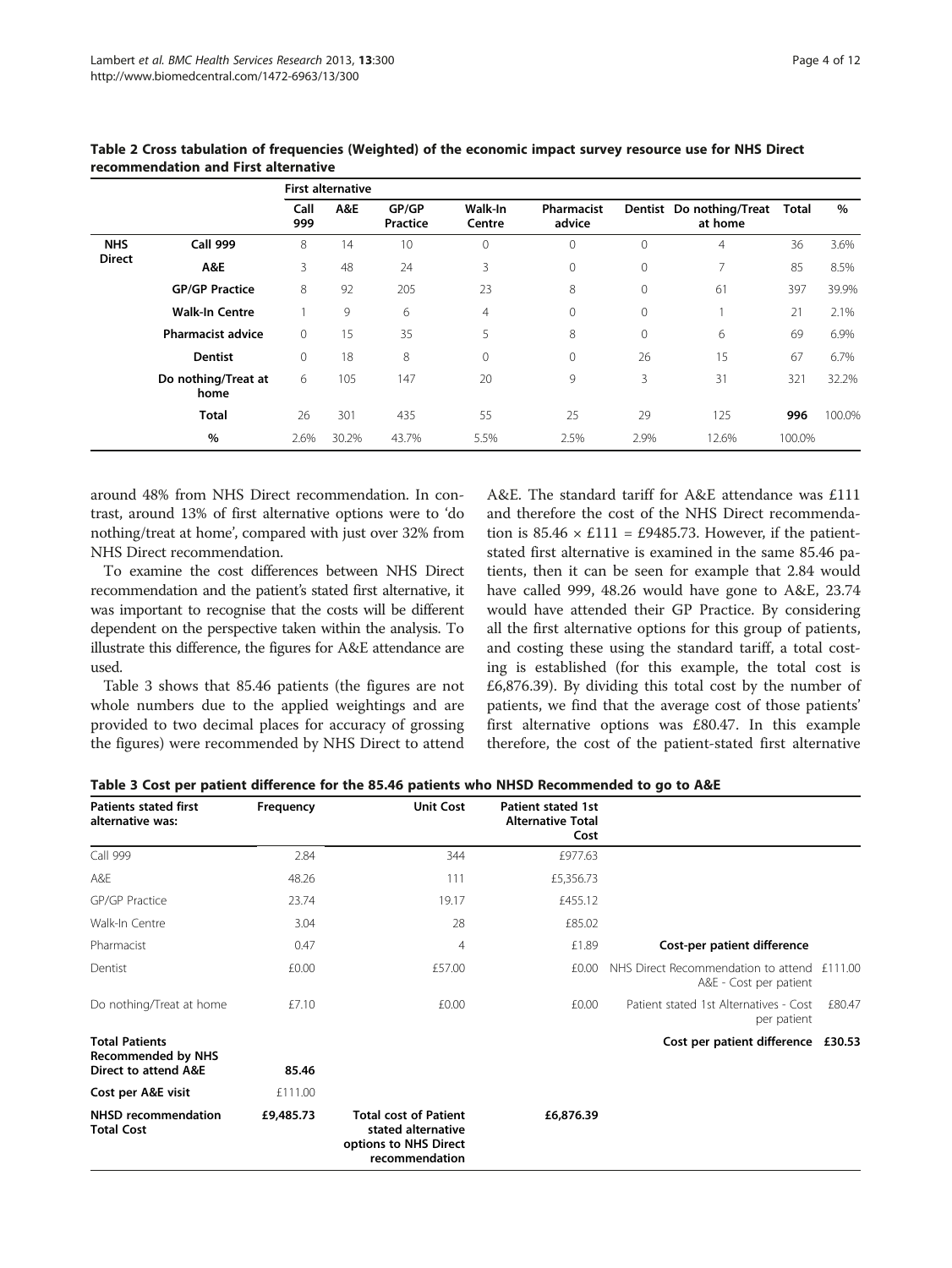|               |                             | <b>First alternative</b> |       |                   |                   |                      |              |                                     |        |        |
|---------------|-----------------------------|--------------------------|-------|-------------------|-------------------|----------------------|--------------|-------------------------------------|--------|--------|
|               |                             | Call<br>999              | A&E   | GP/GP<br>Practice | Walk-In<br>Centre | Pharmacist<br>advice |              | Dentist Do nothing/Treat<br>at home | Total  | %      |
| <b>NHS</b>    | <b>Call 999</b>             | 8                        | 14    | 10                | $\mathbf 0$       | $\mathbf{0}$         | $\mathbf{0}$ | $\overline{4}$                      | 36     | 3.6%   |
| <b>Direct</b> | A&E                         | 3                        | 48    | 24                | 3                 | $\mathbf{0}$         | $\mathbf{0}$ | 7                                   | 85     | 8.5%   |
|               | <b>GP/GP Practice</b>       | 8                        | 92    | 205               | 23                | 8                    | $\mathbf{0}$ | 61                                  | 397    | 39.9%  |
|               | <b>Walk-In Centre</b>       |                          | 9     | 6                 | $\overline{4}$    | $\mathbf{0}$         | $\mathbf{0}$ |                                     | 21     | 2.1%   |
|               | <b>Pharmacist advice</b>    | $\mathbf{0}$             | 15    | 35                | 5                 | 8                    | $\mathbf{0}$ | 6                                   | 69     | 6.9%   |
|               | <b>Dentist</b>              | $\mathbf{0}$             | 18    | 8                 | $\mathbf 0$       | $\mathbf{0}$         | 26           | 15                                  | 67     | 6.7%   |
|               | Do nothing/Treat at<br>home | 6                        | 105   | 147               | 20                | 9                    | 3            | 31                                  | 321    | 32.2%  |
|               | <b>Total</b>                | 26                       | 301   | 435               | 55                | 25                   | 29           | 125                                 | 996    | 100.0% |
|               | %                           | 2.6%                     | 30.2% | 43.7%             | 5.5%              | 2.5%                 | 2.9%         | 12.6%                               | 100.0% |        |

<span id="page-3-0"></span>Table 2 Cross tabulation of frequencies (Weighted) of the economic impact survey resource use for NHS Direct recommendation and First alternative

around 48% from NHS Direct recommendation. In contrast, around 13% of first alternative options were to 'do nothing/treat at home', compared with just over 32% from NHS Direct recommendation.

To examine the cost differences between NHS Direct recommendation and the patient's stated first alternative, it was important to recognise that the costs will be different dependent on the perspective taken within the analysis. To illustrate this difference, the figures for A&E attendance are used.

Table 3 shows that 85.46 patients (the figures are not whole numbers due to the applied weightings and are provided to two decimal places for accuracy of grossing the figures) were recommended by NHS Direct to attend A&E. The standard tariff for A&E attendance was £111 and therefore the cost of the NHS Direct recommendation is  $85.46 \times £111 = £9485.73$ . However, if the patientstated first alternative is examined in the same 85.46 patients, then it can be seen for example that 2.84 would have called 999, 48.26 would have gone to A&E, 23.74 would have attended their GP Practice. By considering all the first alternative options for this group of patients, and costing these using the standard tariff, a total costing is established (for this example, the total cost is £6,876.39). By dividing this total cost by the number of patients, we find that the average cost of those patients' first alternative options was £80.47. In this example therefore, the cost of the patient-stated first alternative

| Table 3 Cost per patient difference for the 85.46 patients who NHSD Recommended to go to A&E |  |  |
|----------------------------------------------------------------------------------------------|--|--|
|----------------------------------------------------------------------------------------------|--|--|

| <b>Patients stated first</b><br>alternative was:                           | Frequency | <b>Unit Cost</b>                                                                              | <b>Patient stated 1st</b><br><b>Alternative Total</b><br>Cost |                                                               |         |
|----------------------------------------------------------------------------|-----------|-----------------------------------------------------------------------------------------------|---------------------------------------------------------------|---------------------------------------------------------------|---------|
| Call 999                                                                   | 2.84      | 344                                                                                           | £977.63                                                       |                                                               |         |
| A&E                                                                        | 48.26     | 111                                                                                           | £5,356.73                                                     |                                                               |         |
| GP/GP Practice                                                             | 23.74     | 19.17                                                                                         | £455.12                                                       |                                                               |         |
| Walk-In Centre                                                             | 3.04      | 28                                                                                            | £85.02                                                        |                                                               |         |
| Pharmacist                                                                 | 0.47      | 4                                                                                             | £1.89                                                         | Cost-per patient difference                                   |         |
| Dentist                                                                    | £0.00     | £57.00                                                                                        | £0.00                                                         | NHS Direct Recommendation to attend<br>A&E - Cost per patient | £111.00 |
| Do nothing/Treat at home                                                   | £7.10     | £0.00                                                                                         | £0.00                                                         | Patient stated 1st Alternatives - Cost<br>per patient         | £80.47  |
| <b>Total Patients</b><br><b>Recommended by NHS</b><br>Direct to attend A&E | 85.46     |                                                                                               |                                                               | Cost per patient difference £30.53                            |         |
| Cost per A&E visit                                                         | £111.00   |                                                                                               |                                                               |                                                               |         |
| <b>NHSD recommendation</b><br><b>Total Cost</b>                            | £9,485.73 | <b>Total cost of Patient</b><br>stated alternative<br>options to NHS Direct<br>recommendation | £6,876.39                                                     |                                                               |         |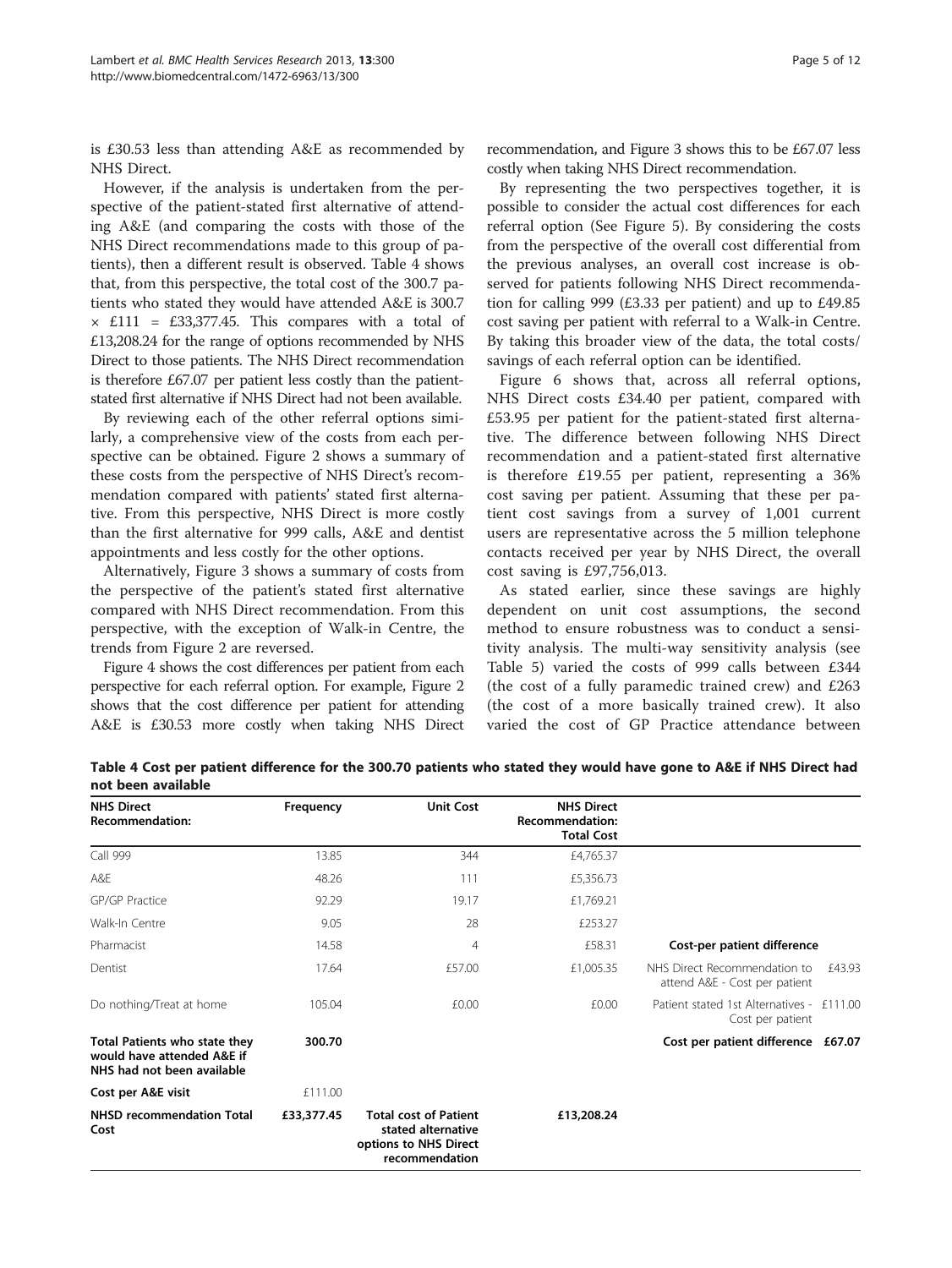is £30.53 less than attending A&E as recommended by NHS Direct.

However, if the analysis is undertaken from the perspective of the patient-stated first alternative of attending A&E (and comparing the costs with those of the NHS Direct recommendations made to this group of patients), then a different result is observed. Table 4 shows that, from this perspective, the total cost of the 300.7 patients who stated they would have attended A&E is 300.7 × £111 = £33,377.45. This compares with a total of £13,208.24 for the range of options recommended by NHS Direct to those patients. The NHS Direct recommendation is therefore £67.07 per patient less costly than the patientstated first alternative if NHS Direct had not been available.

By reviewing each of the other referral options similarly, a comprehensive view of the costs from each perspective can be obtained. Figure [2](#page-5-0) shows a summary of these costs from the perspective of NHS Direct's recommendation compared with patients' stated first alternative. From this perspective, NHS Direct is more costly than the first alternative for 999 calls, A&E and dentist appointments and less costly for the other options.

Alternatively, Figure [3](#page-5-0) shows a summary of costs from the perspective of the patient's stated first alternative compared with NHS Direct recommendation. From this perspective, with the exception of Walk-in Centre, the trends from Figure [2](#page-5-0) are reversed.

Figure [4](#page-6-0) shows the cost differences per patient from each perspective for each referral option. For example, Figure [2](#page-5-0) shows that the cost difference per patient for attending A&E is £30.53 more costly when taking NHS Direct

recommendation, and Figure [3](#page-5-0) shows this to be £67.07 less costly when taking NHS Direct recommendation.

By representing the two perspectives together, it is possible to consider the actual cost differences for each referral option (See Figure [5\)](#page-6-0). By considering the costs from the perspective of the overall cost differential from the previous analyses, an overall cost increase is observed for patients following NHS Direct recommendation for calling 999 (£3.33 per patient) and up to £49.85 cost saving per patient with referral to a Walk-in Centre. By taking this broader view of the data, the total costs/ savings of each referral option can be identified.

Figure [6](#page-7-0) shows that, across all referral options, NHS Direct costs £34.40 per patient, compared with £53.95 per patient for the patient-stated first alternative. The difference between following NHS Direct recommendation and a patient-stated first alternative is therefore £19.55 per patient, representing a 36% cost saving per patient. Assuming that these per patient cost savings from a survey of 1,001 current users are representative across the 5 million telephone contacts received per year by NHS Direct, the overall cost saving is £97,756,013.

As stated earlier, since these savings are highly dependent on unit cost assumptions, the second method to ensure robustness was to conduct a sensitivity analysis. The multi-way sensitivity analysis (see Table [5\)](#page-8-0) varied the costs of 999 calls between £344 (the cost of a fully paramedic trained crew) and £263 (the cost of a more basically trained crew). It also varied the cost of GP Practice attendance between

Table 4 Cost per patient difference for the 300.70 patients who stated they would have gone to A&E if NHS Direct had not been available

| <b>NHS Direct</b><br>Recommendation:                                                      | Frequency  | <b>Unit Cost</b>                                                                              | <b>NHS Direct</b><br><b>Recommendation:</b><br><b>Total Cost</b> |                                                               |        |
|-------------------------------------------------------------------------------------------|------------|-----------------------------------------------------------------------------------------------|------------------------------------------------------------------|---------------------------------------------------------------|--------|
| Call 999                                                                                  | 13.85      | 344                                                                                           | £4,765.37                                                        |                                                               |        |
| A&E                                                                                       | 48.26      | 111                                                                                           | £5,356.73                                                        |                                                               |        |
| GP/GP Practice                                                                            | 92.29      | 19.17                                                                                         | £1,769.21                                                        |                                                               |        |
| Walk-In Centre                                                                            | 9.05       | 28                                                                                            | £253.27                                                          |                                                               |        |
| Pharmacist                                                                                | 14.58      | 4                                                                                             | £58.31                                                           | Cost-per patient difference                                   |        |
| Dentist                                                                                   | 17.64      | £57.00                                                                                        | £1,005.35                                                        | NHS Direct Recommendation to<br>attend A&E - Cost per patient | £43.93 |
| Do nothing/Treat at home                                                                  | 105.04     | £0.00                                                                                         | £0.00                                                            | Patient stated 1st Alternatives - £111.00<br>Cost per patient |        |
| Total Patients who state they<br>would have attended A&E if<br>NHS had not been available | 300.70     |                                                                                               |                                                                  | Cost per patient difference £67.07                            |        |
| Cost per A&E visit                                                                        | £111.00    |                                                                                               |                                                                  |                                                               |        |
| <b>NHSD recommendation Total</b><br>Cost                                                  | £33,377.45 | <b>Total cost of Patient</b><br>stated alternative<br>options to NHS Direct<br>recommendation | £13,208.24                                                       |                                                               |        |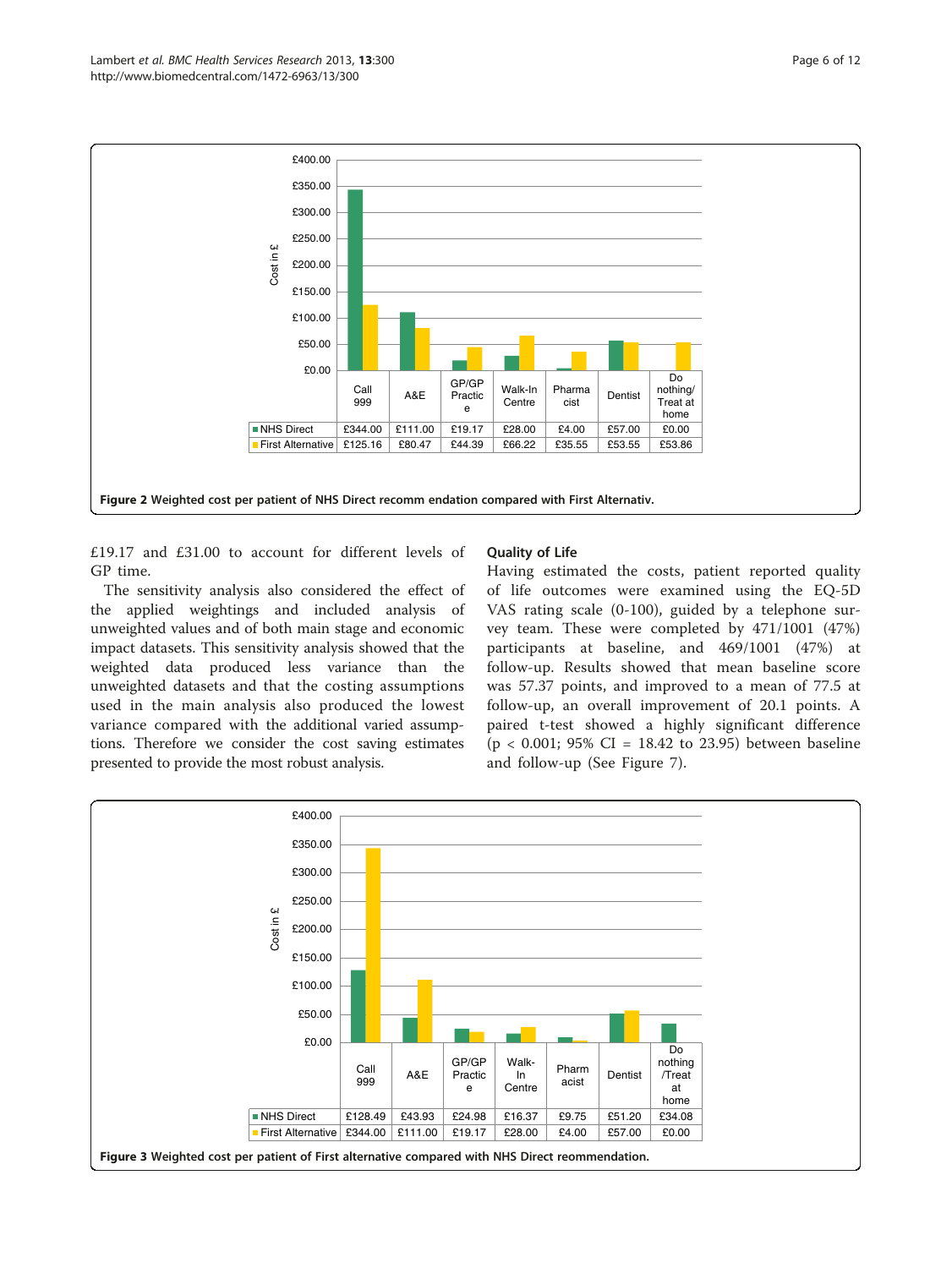<span id="page-5-0"></span>

£19.17 and £31.00 to account for different levels of GP time.

The sensitivity analysis also considered the effect of the applied weightings and included analysis of unweighted values and of both main stage and economic impact datasets. This sensitivity analysis showed that the weighted data produced less variance than the unweighted datasets and that the costing assumptions used in the main analysis also produced the lowest variance compared with the additional varied assumptions. Therefore we consider the cost saving estimates presented to provide the most robust analysis.

## Quality of Life

Having estimated the costs, patient reported quality of life outcomes were examined using the EQ-5D VAS rating scale (0-100), guided by a telephone survey team. These were completed by 471/1001 (47%) participants at baseline, and 469/1001 (47%) at follow-up. Results showed that mean baseline score was 57.37 points, and improved to a mean of 77.5 at follow-up, an overall improvement of 20.1 points. A paired t-test showed a highly significant difference  $(p < 0.001; 95\% \text{ CI} = 18.42 \text{ to } 23.95)$  between baseline and follow-up (See Figure [7](#page-8-0)).

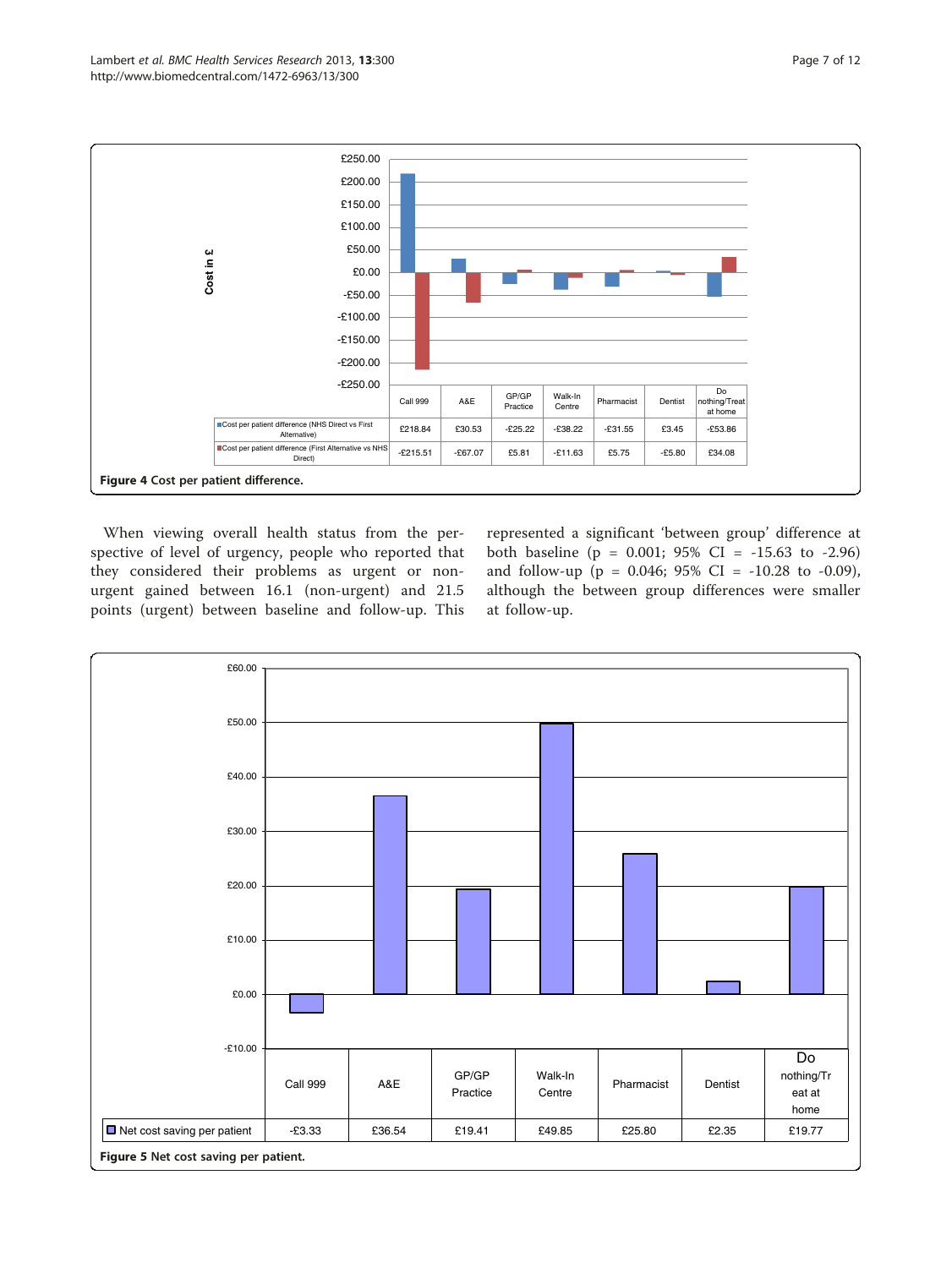<span id="page-6-0"></span>

When viewing overall health status from the perspective of level of urgency, people who reported that they considered their problems as urgent or nonurgent gained between 16.1 (non-urgent) and 21.5 points (urgent) between baseline and follow-up. This

represented a significant 'between group' difference at both baseline (p = 0.001; 95% CI = -15.63 to -2.96) and follow-up (p = 0.046; 95% CI = -10.28 to -0.09), although the between group differences were smaller at follow-up.

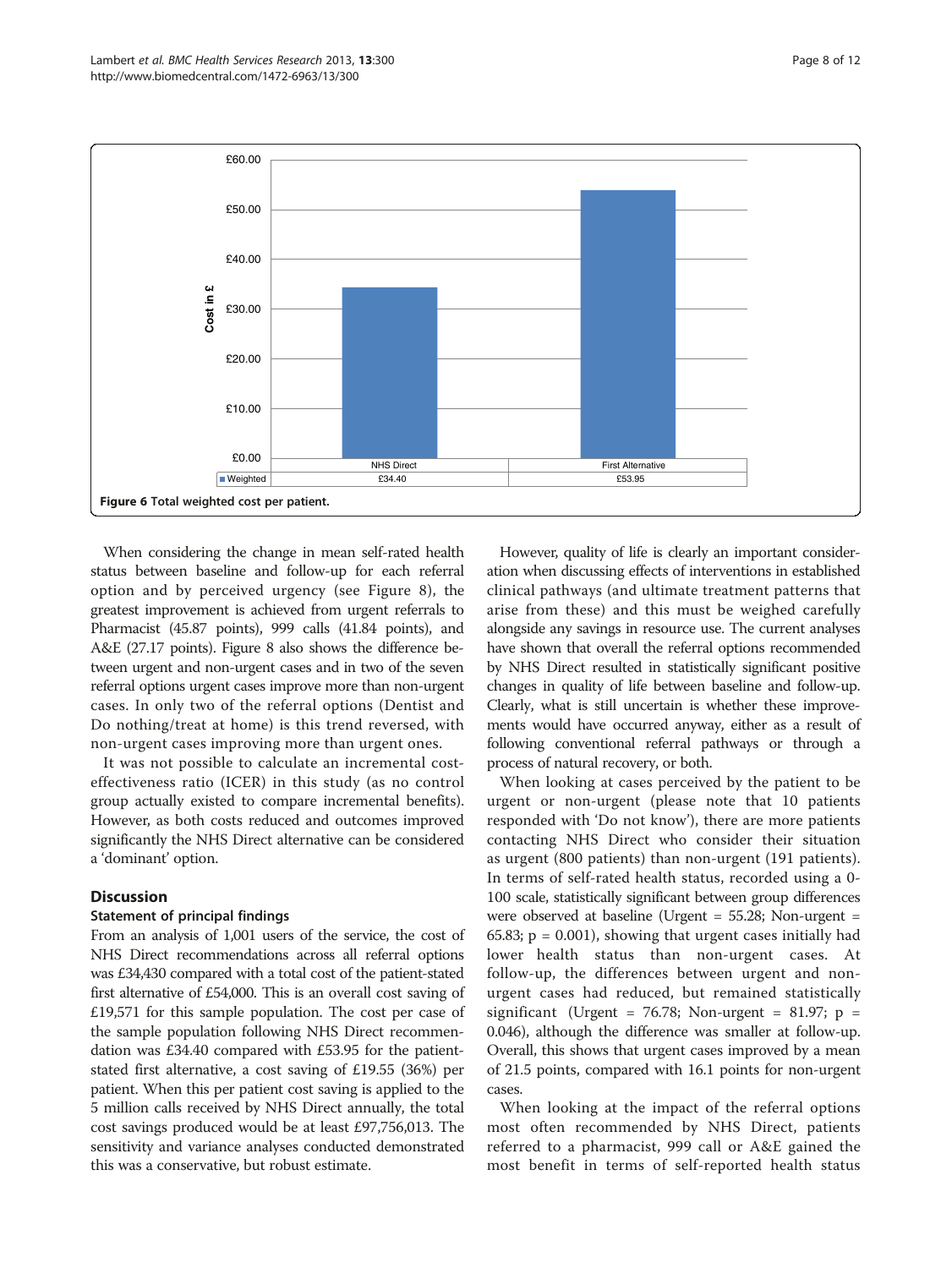

<span id="page-7-0"></span>

When considering the change in mean self-rated health status between baseline and follow-up for each referral option and by perceived urgency (see Figure [8](#page-9-0)), the greatest improvement is achieved from urgent referrals to Pharmacist (45.87 points), 999 calls (41.84 points), and A&E (27.17 points). Figure [8](#page-9-0) also shows the difference between urgent and non-urgent cases and in two of the seven referral options urgent cases improve more than non-urgent cases. In only two of the referral options (Dentist and Do nothing/treat at home) is this trend reversed, with non-urgent cases improving more than urgent ones.

It was not possible to calculate an incremental costeffectiveness ratio (ICER) in this study (as no control group actually existed to compare incremental benefits). However, as both costs reduced and outcomes improved significantly the NHS Direct alternative can be considered a 'dominant' option.

## **Discussion**

#### Statement of principal findings

From an analysis of 1,001 users of the service, the cost of NHS Direct recommendations across all referral options was £34,430 compared with a total cost of the patient-stated first alternative of £54,000. This is an overall cost saving of £19,571 for this sample population. The cost per case of the sample population following NHS Direct recommendation was £34.40 compared with £53.95 for the patientstated first alternative, a cost saving of £19.55 (36%) per patient. When this per patient cost saving is applied to the 5 million calls received by NHS Direct annually, the total cost savings produced would be at least £97,756,013. The sensitivity and variance analyses conducted demonstrated this was a conservative, but robust estimate.

However, quality of life is clearly an important consideration when discussing effects of interventions in established clinical pathways (and ultimate treatment patterns that arise from these) and this must be weighed carefully alongside any savings in resource use. The current analyses have shown that overall the referral options recommended by NHS Direct resulted in statistically significant positive changes in quality of life between baseline and follow-up. Clearly, what is still uncertain is whether these improvements would have occurred anyway, either as a result of following conventional referral pathways or through a process of natural recovery, or both.

When looking at cases perceived by the patient to be urgent or non-urgent (please note that 10 patients responded with 'Do not know'), there are more patients contacting NHS Direct who consider their situation as urgent (800 patients) than non-urgent (191 patients). In terms of self-rated health status, recorded using a 0- 100 scale, statistically significant between group differences were observed at baseline (Urgent = 55.28; Non-urgent =  $65.83$ ;  $p = 0.001$ ), showing that urgent cases initially had lower health status than non-urgent cases. At follow-up, the differences between urgent and nonurgent cases had reduced, but remained statistically significant (Urgent = 76.78; Non-urgent = 81.97;  $p =$ 0.046), although the difference was smaller at follow-up. Overall, this shows that urgent cases improved by a mean of 21.5 points, compared with 16.1 points for non-urgent cases.

When looking at the impact of the referral options most often recommended by NHS Direct, patients referred to a pharmacist, 999 call or A&E gained the most benefit in terms of self-reported health status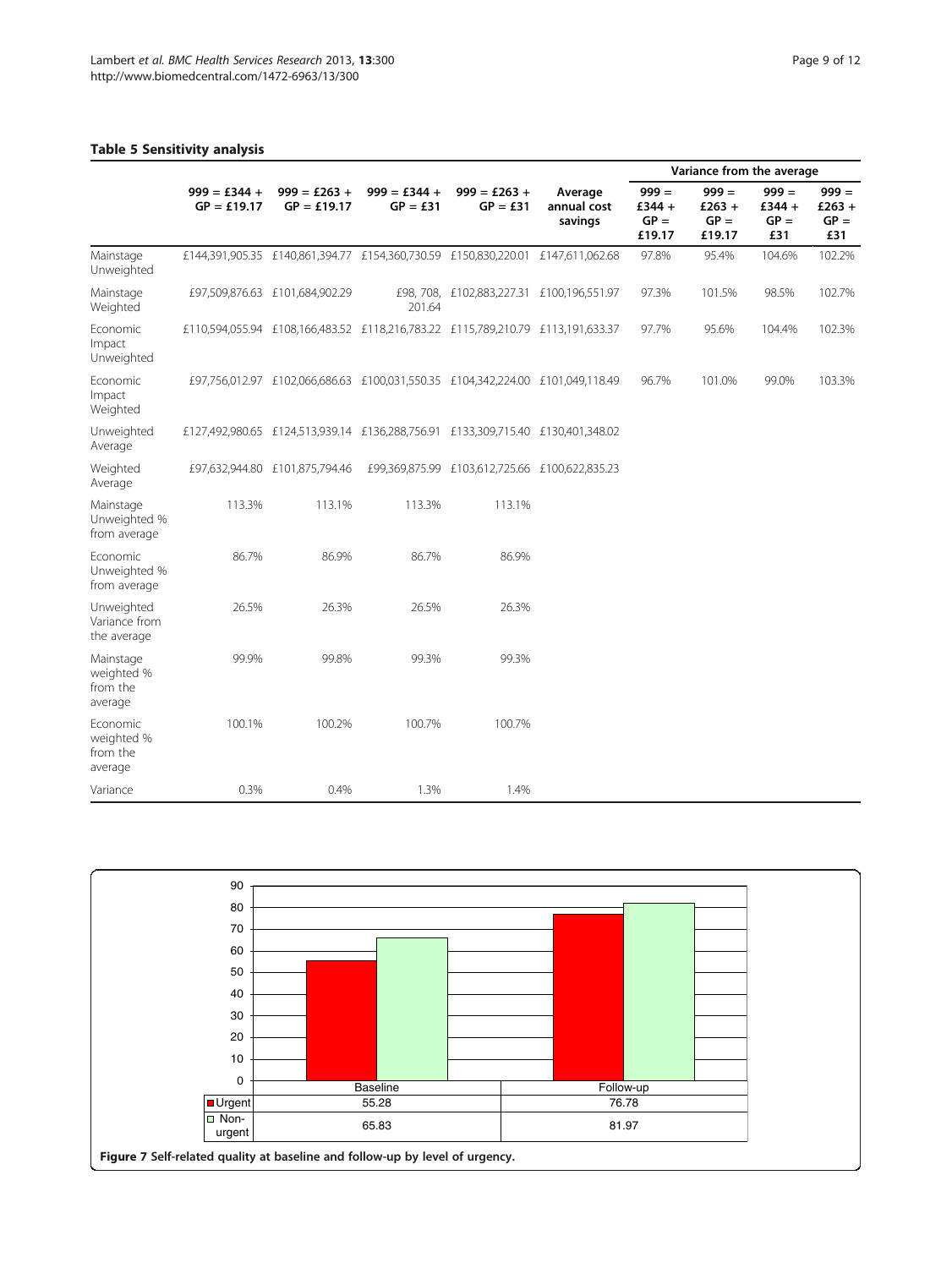## <span id="page-8-0"></span>Table 5 Sensitivity analysis

|                                                 |                                 |                                 |                              |                                                                                 | Variance from the average         |                                         |                                         |                                      |                                    |
|-------------------------------------------------|---------------------------------|---------------------------------|------------------------------|---------------------------------------------------------------------------------|-----------------------------------|-----------------------------------------|-----------------------------------------|--------------------------------------|------------------------------------|
|                                                 | $999 = £344 +$<br>$GP = £19.17$ | $999 = £263 +$<br>$GP = £19.17$ | $999 = £344 +$<br>$GP = £31$ | $999 = £263 +$<br>$GP = £31$                                                    | Average<br>annual cost<br>savings | $999 =$<br>£344 $+$<br>$GP =$<br>£19.17 | $999 =$<br>£263 $+$<br>$GP =$<br>£19.17 | $999 =$<br>£344 $+$<br>$GP =$<br>£31 | $999 =$<br>£263 +<br>$GP =$<br>£31 |
| Mainstage<br>Unweighted                         |                                 |                                 |                              | £144,391,905.35 £140,861,394.77 £154,360,730.59 £150,830,220.01 £147,611,062.68 |                                   | 97.8%                                   | 95.4%                                   | 104.6%                               | 102.2%                             |
| Mainstage<br>Weighted                           |                                 | £97,509,876.63 £101,684,902.29  | 201.64                       | £98, 708, £102,883,227.31 £100,196,551.97                                       |                                   | 97.3%                                   | 101.5%                                  | 98.5%                                | 102.7%                             |
| Economic<br>Impact<br>Unweighted                |                                 |                                 |                              | £110,594,055.94 £108,166,483.52 £118,216,783.22 £115,789,210.79 £113,191,633.37 |                                   | 97.7%                                   | 95.6%                                   | 104.4%                               | 102.3%                             |
| Economic<br>Impact<br>Weighted                  |                                 |                                 |                              | £97,756,012.97 £102,066,686.63 £100,031,550.35 £104,342,224.00 £101,049,118.49  |                                   | 96.7%                                   | 101.0%                                  | 99.0%                                | 103.3%                             |
| Unweighted<br>Average                           |                                 |                                 |                              | £127,492,980.65 £124,513,939.14 £136,288,756.91 £133,309,715.40 £130,401,348.02 |                                   |                                         |                                         |                                      |                                    |
| Weighted<br>Average                             |                                 | £97,632,944.80 £101,875,794.46  |                              | £99,369,875.99 £103,612,725.66 £100,622,835.23                                  |                                   |                                         |                                         |                                      |                                    |
| Mainstage<br>Unweighted %<br>from average       | 113.3%                          | 113.1%                          | 113.3%                       | 113.1%                                                                          |                                   |                                         |                                         |                                      |                                    |
| <b>Fconomic</b><br>Unweighted %<br>from average | 86.7%                           | 86.9%                           | 86.7%                        | 86.9%                                                                           |                                   |                                         |                                         |                                      |                                    |
| Unweighted<br>Variance from<br>the average      | 26.5%                           | 26.3%                           | 26.5%                        | 26.3%                                                                           |                                   |                                         |                                         |                                      |                                    |
| Mainstage<br>weighted %<br>from the<br>average  | 99.9%                           | 99.8%                           | 99.3%                        | 99.3%                                                                           |                                   |                                         |                                         |                                      |                                    |
| Economic<br>weighted %<br>from the<br>average   | 100.1%                          | 100.2%                          | 100.7%                       | 100.7%                                                                          |                                   |                                         |                                         |                                      |                                    |
| Variance                                        | 0.3%                            | 0.4%                            | 1.3%                         | 1.4%                                                                            |                                   |                                         |                                         |                                      |                                    |

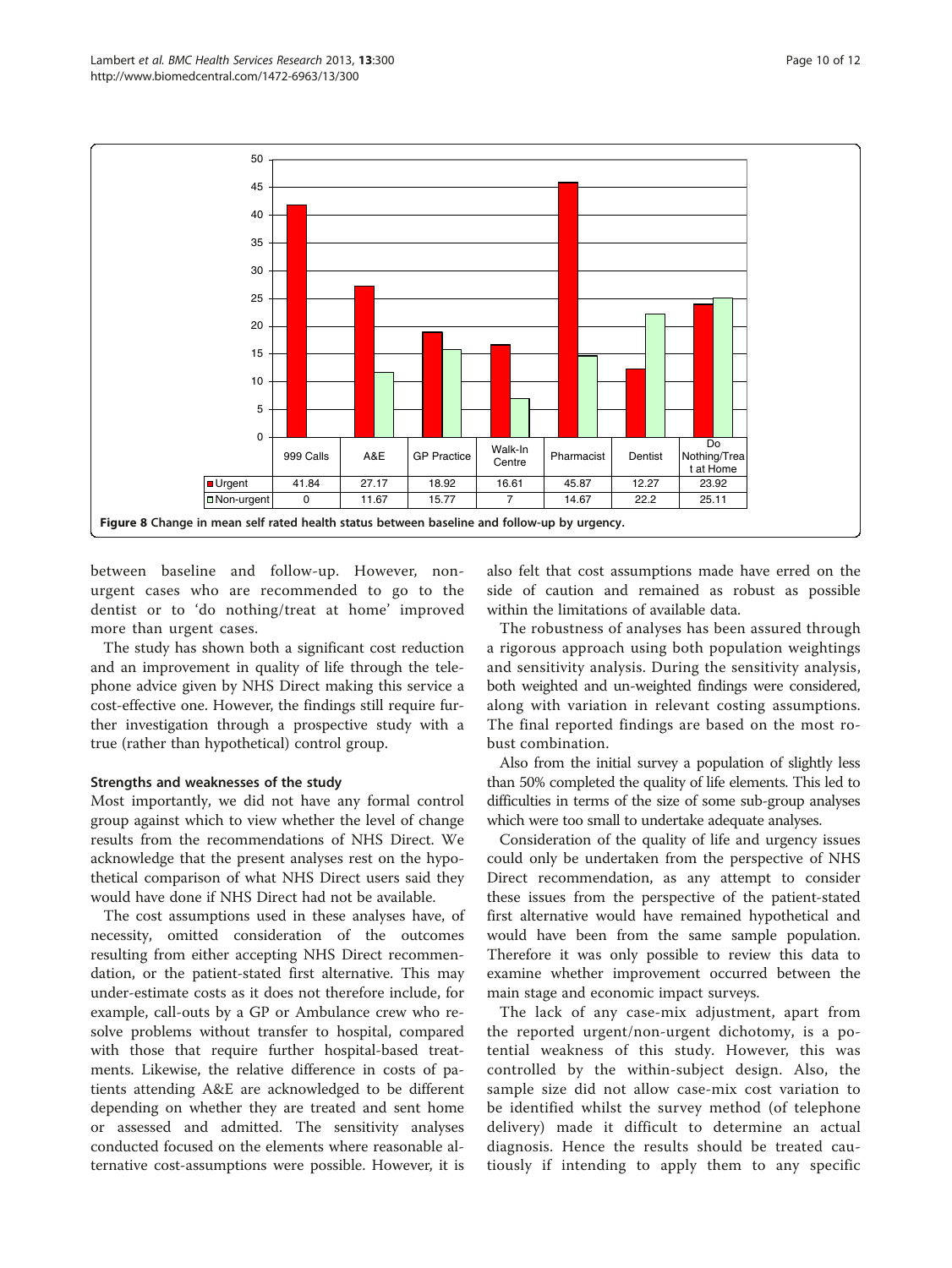<span id="page-9-0"></span>

between baseline and follow-up. However, nonurgent cases who are recommended to go to the dentist or to 'do nothing/treat at home' improved more than urgent cases.

The study has shown both a significant cost reduction and an improvement in quality of life through the telephone advice given by NHS Direct making this service a cost-effective one. However, the findings still require further investigation through a prospective study with a true (rather than hypothetical) control group.

#### Strengths and weaknesses of the study

Most importantly, we did not have any formal control group against which to view whether the level of change results from the recommendations of NHS Direct. We acknowledge that the present analyses rest on the hypothetical comparison of what NHS Direct users said they would have done if NHS Direct had not be available.

The cost assumptions used in these analyses have, of necessity, omitted consideration of the outcomes resulting from either accepting NHS Direct recommendation, or the patient-stated first alternative. This may under-estimate costs as it does not therefore include, for example, call-outs by a GP or Ambulance crew who resolve problems without transfer to hospital, compared with those that require further hospital-based treatments. Likewise, the relative difference in costs of patients attending A&E are acknowledged to be different depending on whether they are treated and sent home or assessed and admitted. The sensitivity analyses conducted focused on the elements where reasonable alternative cost-assumptions were possible. However, it is also felt that cost assumptions made have erred on the side of caution and remained as robust as possible within the limitations of available data.

The robustness of analyses has been assured through a rigorous approach using both population weightings and sensitivity analysis. During the sensitivity analysis, both weighted and un-weighted findings were considered, along with variation in relevant costing assumptions. The final reported findings are based on the most robust combination.

Also from the initial survey a population of slightly less than 50% completed the quality of life elements. This led to difficulties in terms of the size of some sub-group analyses which were too small to undertake adequate analyses.

Consideration of the quality of life and urgency issues could only be undertaken from the perspective of NHS Direct recommendation, as any attempt to consider these issues from the perspective of the patient-stated first alternative would have remained hypothetical and would have been from the same sample population. Therefore it was only possible to review this data to examine whether improvement occurred between the main stage and economic impact surveys.

The lack of any case-mix adjustment, apart from the reported urgent/non-urgent dichotomy, is a potential weakness of this study. However, this was controlled by the within-subject design. Also, the sample size did not allow case-mix cost variation to be identified whilst the survey method (of telephone delivery) made it difficult to determine an actual diagnosis. Hence the results should be treated cautiously if intending to apply them to any specific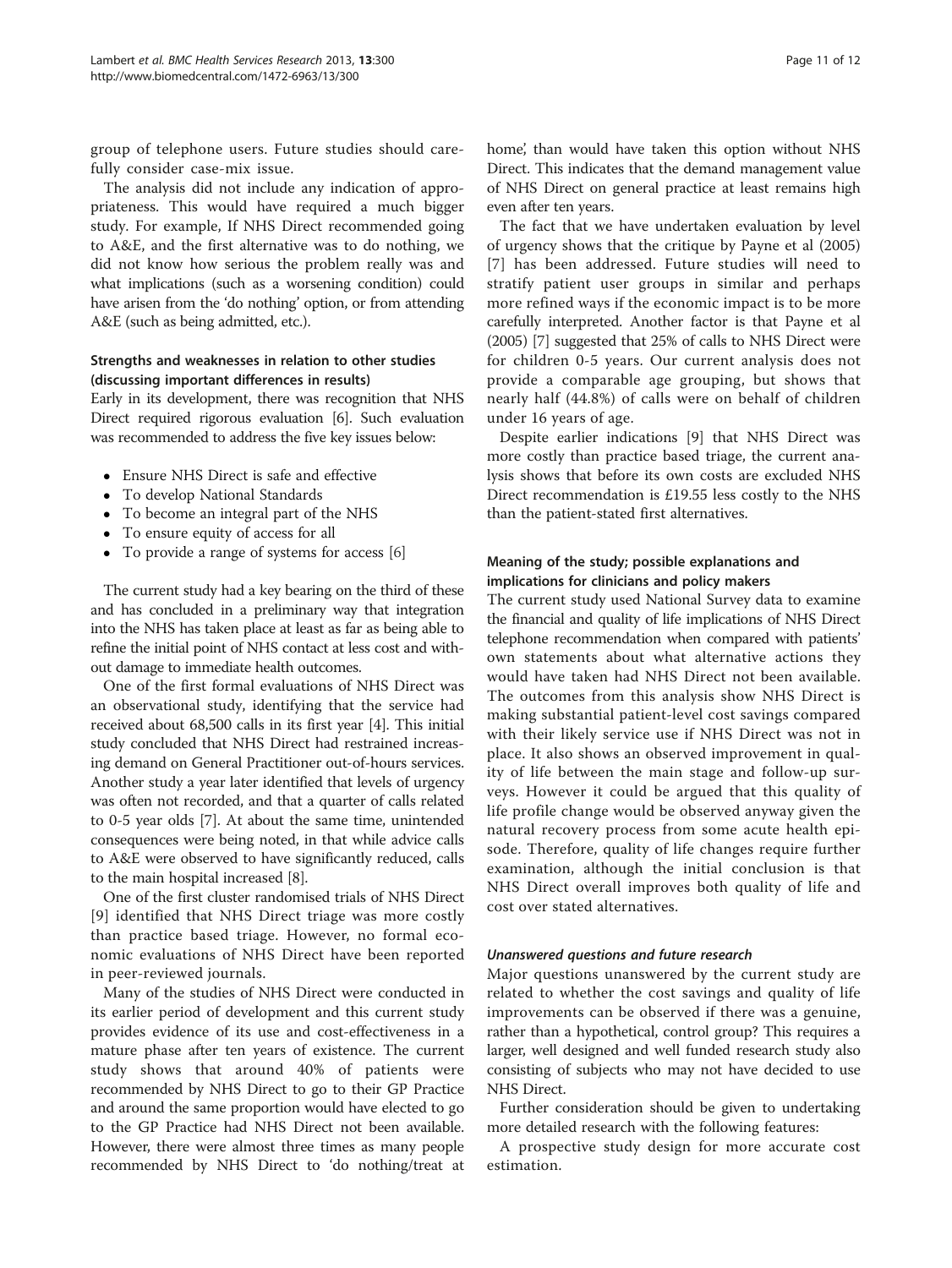group of telephone users. Future studies should carefully consider case-mix issue.

The analysis did not include any indication of appropriateness. This would have required a much bigger study. For example, If NHS Direct recommended going to A&E, and the first alternative was to do nothing, we did not know how serious the problem really was and what implications (such as a worsening condition) could have arisen from the 'do nothing' option, or from attending A&E (such as being admitted, etc.).

### Strengths and weaknesses in relation to other studies (discussing important differences in results)

Early in its development, there was recognition that NHS Direct required rigorous evaluation [[6](#page-11-0)]. Such evaluation was recommended to address the five key issues below:

- Ensure NHS Direct is safe and effective
- To develop National Standards
- To become an integral part of the NHS
- To ensure equity of access for all
- To provide a range of systems for access [\[6](#page-11-0)]

The current study had a key bearing on the third of these and has concluded in a preliminary way that integration into the NHS has taken place at least as far as being able to refine the initial point of NHS contact at less cost and without damage to immediate health outcomes.

One of the first formal evaluations of NHS Direct was an observational study, identifying that the service had received about 68,500 calls in its first year [[4\]](#page-11-0). This initial study concluded that NHS Direct had restrained increasing demand on General Practitioner out-of-hours services. Another study a year later identified that levels of urgency was often not recorded, and that a quarter of calls related to 0-5 year olds [\[7\]](#page-11-0). At about the same time, unintended consequences were being noted, in that while advice calls to A&E were observed to have significantly reduced, calls to the main hospital increased [[8\]](#page-11-0).

One of the first cluster randomised trials of NHS Direct [[9](#page-11-0)] identified that NHS Direct triage was more costly than practice based triage. However, no formal economic evaluations of NHS Direct have been reported in peer-reviewed journals.

Many of the studies of NHS Direct were conducted in its earlier period of development and this current study provides evidence of its use and cost-effectiveness in a mature phase after ten years of existence. The current study shows that around 40% of patients were recommended by NHS Direct to go to their GP Practice and around the same proportion would have elected to go to the GP Practice had NHS Direct not been available. However, there were almost three times as many people recommended by NHS Direct to 'do nothing/treat at

home', than would have taken this option without NHS Direct. This indicates that the demand management value of NHS Direct on general practice at least remains high even after ten years.

The fact that we have undertaken evaluation by level of urgency shows that the critique by Payne et al (2005) [[7](#page-11-0)] has been addressed. Future studies will need to stratify patient user groups in similar and perhaps more refined ways if the economic impact is to be more carefully interpreted. Another factor is that Payne et al (2005) [\[7](#page-11-0)] suggested that 25% of calls to NHS Direct were for children 0-5 years. Our current analysis does not provide a comparable age grouping, but shows that nearly half (44.8%) of calls were on behalf of children under 16 years of age.

Despite earlier indications [[9\]](#page-11-0) that NHS Direct was more costly than practice based triage, the current analysis shows that before its own costs are excluded NHS Direct recommendation is £19.55 less costly to the NHS than the patient-stated first alternatives.

## Meaning of the study; possible explanations and implications for clinicians and policy makers

The current study used National Survey data to examine the financial and quality of life implications of NHS Direct telephone recommendation when compared with patients' own statements about what alternative actions they would have taken had NHS Direct not been available. The outcomes from this analysis show NHS Direct is making substantial patient-level cost savings compared with their likely service use if NHS Direct was not in place. It also shows an observed improvement in quality of life between the main stage and follow-up surveys. However it could be argued that this quality of life profile change would be observed anyway given the natural recovery process from some acute health episode. Therefore, quality of life changes require further examination, although the initial conclusion is that NHS Direct overall improves both quality of life and cost over stated alternatives.

#### Unanswered questions and future research

Major questions unanswered by the current study are related to whether the cost savings and quality of life improvements can be observed if there was a genuine, rather than a hypothetical, control group? This requires a larger, well designed and well funded research study also consisting of subjects who may not have decided to use NHS Direct.

Further consideration should be given to undertaking more detailed research with the following features:

A prospective study design for more accurate cost estimation.